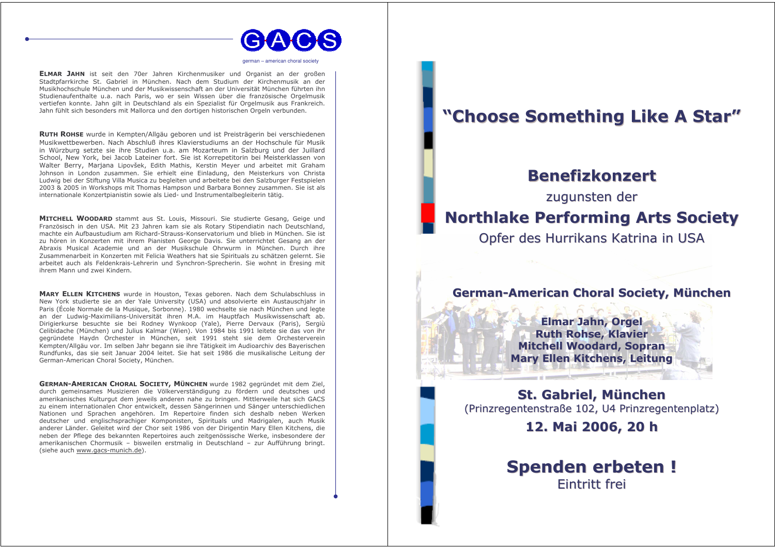

nerman - american choral societ

ELMAR JAHN ist seit den 70er Jahren Kirchenmusiker und Organist an der großen Stadtpfarrkirche St. Gabriel in München. Nach dem Studium der Kirchenmusik an der Musikhochschule München und der Musikwissenschaft an der Universität München führten ihn Studienaufenthalte u.a. nach Paris, wo er sein Wissen über die französische Orgelmusik vertiefen konnte. Jahn gilt in Deutschland als ein Spezialist für Orgelmusik aus Frankreich. Jahn fühlt sich besonders mit Mallorca und den dortigen historischen Orgeln verbunden.

RUTH ROHSE wurde in Kempten/Allgäu geboren und ist Preisträgerin bei verschiedenen Musikwettbewerben. Nach Abschluß ihres Klavierstudiums an der Hochschule für Musik in Würzburg setzte sie ihre Studien u.a. am Mozarteum in Salzburg und der Juillard School, New York, bei Jacob Lateiner fort. Sie ist Korrepetitorin bei Meisterklassen von Walter Berry, Marjana Lipovšek, Edith Mathis, Kerstin Meyer und arbeitet mit Graham Johnson in London zusammen. Sie erhielt eine Einladung, den Meisterkurs von Christa Ludwig bei der Stiftung Villa Musica zu begleiten und arbeitete bei den Salzburger Festspielen 2003 & 2005 in Workshops mit Thomas Hampson und Barbara Bonney zusammen. Sie ist als internationale Konzertpianistin sowie als Lied- und Instrumentalbegleiterin tätig.

MITCHELL WOODARD stammt aus St. Louis, Missouri. Sie studierte Gesang, Geige und Französisch in den USA. Mit 23 Jahren kam sie als Rotary Stipendiatin nach Deutschland, machte ein Aufbaustudium am Richard-Strauss-Konservatorium und blieb in München. Sie ist zu hören in Konzerten mit ihrem Pianisten George Davis. Sie unterrichtet Gesang an der Abraxis Musical Academie und an der Musikschule Ohrwurm in München. Durch ihre Zusammenarbeit in Konzerten mit Felicia Weathers hat sie Spirituals zu schätzen gelernt. Sie arbeitet auch als Feldenkrais-Lehrerin und Synchron-Sprecherin. Sie wohnt in Eresing mit ihrem Mann und zwei Kindern.

MARY ELLEN KITCHENS wurde in Houston, Texas geboren. Nach dem Schulabschluss in New York studierte sie an der Yale University (USA) und absolvierte ein Austauschiahr in Paris (École Normale de la Musique, Sorbonne), 1980 wechselte sie nach München und legte an der Ludwig-Maximilians-Universität ihren M.A. im Hauptfach Musikwissenschaft ab. Dirigierkurse besuchte sie bei Rodney Wynkoop (Yale), Pierre Dervaux (Paris), Sergiù Celibidache (München) und Julius Kalmar (Wien). Von 1984 bis 1991 leitete sie das von ihr gegründete Haydn Orchester in München, seit 1991 steht sie dem Orchesterverein Kempten/Allgäu vor. Im selben Jahr begann sie ihre Tätigkeit im Audioarchiv des Bayerischen Rundfunks, das sie seit Januar 2004 leitet. Sie hat seit 1986 die musikalische Leitung der German-American Choral Society, München.

GERMAN-AMERICAN CHORAL SOCIETY, MÜNCHEN wurde 1982 gegründet mit dem Ziel, durch gemeinsames Musizieren die Völkerverständigung zu fördern und deutsches und amerikanisches Kulturgut dem jeweils anderen nahe zu bringen. Mittlerweile hat sich GACS zu einem internationalen Chor entwickelt, dessen Sängerinnen und Sänger unterschiedlichen Nationen und Sprachen angehören. Im Repertoire finden sich deshalb neben Werken deutscher und englischsprachiger Komponisten, Spirituals und Madrigalen, auch Musik anderer Länder. Geleitet wird der Chor seit 1986 von der Dirigentin Mary Ellen Kitchens, die neben der Pflege des bekannten Repertoires auch zeitgenössische Werke, insbesondere der amerikanischen Chormusik - bisweilen erstmalig in Deutschland - zur Aufführung bringt. (siehe auch www.gacs-munich.de).

# "Choose Something Like A Star"

## **Benefizkonzert**

zugunsten der

## **Northlake Performing Arts Society**

Opfer des Hurrikans Katrina in USA

### German-American Choral Society, München

**Elmar Jahn, Orgel Ruth Rohse, Klavier Mitchell Woodard, Sopran Mary Ellen Kitchens, Leitung** 

St. Gabriel, München (Prinzregentenstraße 102, U4 Prinzregentenplatz)

12. Mai 2006, 20 h

**Spenden erbeten!** Fintritt frei